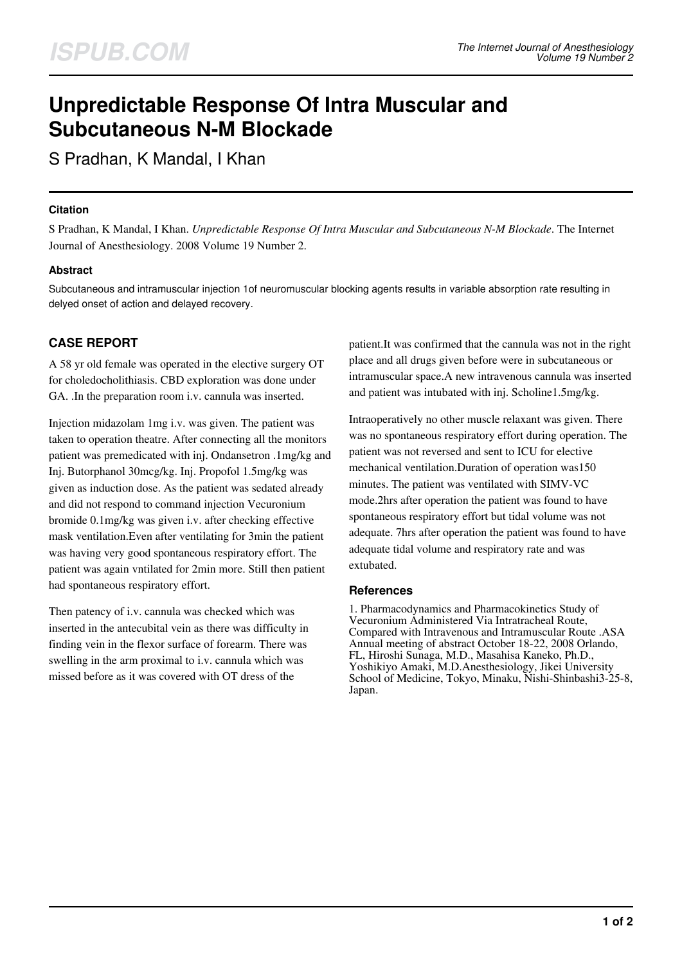# **Unpredictable Response Of Intra Muscular and Subcutaneous N-M Blockade**

S Pradhan, K Mandal, I Khan

## **Citation**

S Pradhan, K Mandal, I Khan. *Unpredictable Response Of Intra Muscular and Subcutaneous N-M Blockade*. The Internet Journal of Anesthesiology. 2008 Volume 19 Number 2.

## **Abstract**

Subcutaneous and intramuscular injection 1of neuromuscular blocking agents results in variable absorption rate resulting in delyed onset of action and delayed recovery.

## **CASE REPORT**

A 58 yr old female was operated in the elective surgery OT for choledocholithiasis. CBD exploration was done under GA. .In the preparation room i.v. cannula was inserted.

Injection midazolam 1mg i.v. was given. The patient was taken to operation theatre. After connecting all the monitors patient was premedicated with inj. Ondansetron .1mg/kg and Inj. Butorphanol 30mcg/kg. Inj. Propofol 1.5mg/kg was given as induction dose. As the patient was sedated already and did not respond to command injection Vecuronium bromide 0.1mg/kg was given i.v. after checking effective mask ventilation.Even after ventilating for 3min the patient was having very good spontaneous respiratory effort. The patient was again vntilated for 2min more. Still then patient had spontaneous respiratory effort.

Then patency of i.v. cannula was checked which was inserted in the antecubital vein as there was difficulty in finding vein in the flexor surface of forearm. There was swelling in the arm proximal to i.v. cannula which was missed before as it was covered with OT dress of the

patient.It was confirmed that the cannula was not in the right place and all drugs given before were in subcutaneous or intramuscular space.A new intravenous cannula was inserted and patient was intubated with inj. Scholine1.5mg/kg.

Intraoperatively no other muscle relaxant was given. There was no spontaneous respiratory effort during operation. The patient was not reversed and sent to ICU for elective mechanical ventilation.Duration of operation was150 minutes. The patient was ventilated with SIMV-VC mode.2hrs after operation the patient was found to have spontaneous respiratory effort but tidal volume was not adequate. 7hrs after operation the patient was found to have adequate tidal volume and respiratory rate and was extubated.

#### **References**

1. Pharmacodynamics and Pharmacokinetics Study of Vecuronium Administered Via Intratracheal Route, Compared with Intravenous and Intramuscular Route .ASA Annual meeting of abstract October 18-22, 2008 Orlando, FL, Hiroshi Sunaga, M.D., Masahisa Kaneko, Ph.D., Yoshikiyo Amaki, M.D.Anesthesiology, Jikei University School of Medicine, Tokyo, Minaku, Nishi-Shinbashi3-25-8, Japan.